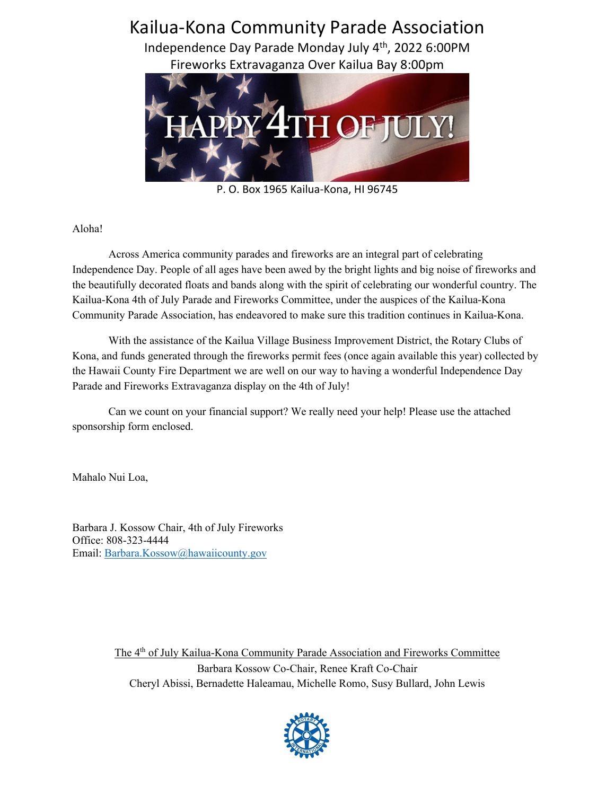## Kailua-Kona Community Parade Association Independence Day Parade Monday July 4th, 2022 6:00PM Fireworks Extravaganza Over Kailua Bay 8:00pm

P. O. Box 1965 Kailua-Kona, HI 96745

## Aloha!

Across America community parades and fireworks are an integral part of celebrating Independence Day. People of all ages have been awed by the bright lights and big noise of fireworks and the beautifully decorated floats and bands along with the spirit of celebrating our wonderful country. The Kailua-Kona 4th of July Parade and Fireworks Committee, under the auspices of the Kailua-Kona Community Parade Association, has endeavored to make sure this tradition continues in Kailua-Kona.

With the assistance of the Kailua Village Business Improvement District, the Rotary Clubs of Kona, and funds generated through the fireworks permit fees (once again available this year) collected by the Hawaii County Fire Department we are well on our way to having a wonderful Independence Day Parade and Fireworks Extravaganza display on the 4th of July!

Can we count on your financial support? We really need your help! Please use the attached sponsorship form enclosed.

Mahalo Nui Loa,

Barbara J. Kossow Chair, 4th of July Fireworks Office: 808-323-4444 Email: Barbara.Kossow@hawaiicounty.gov

> The  $4<sup>th</sup>$  of July Kailua-Kona Community Parade Association and Fireworks Committee Barbara Kossow Co-Chair, Renee Kraft Co-Chair Cheryl Abissi, Bernadette Haleamau, Michelle Romo, Susy Bullard, John Lewis